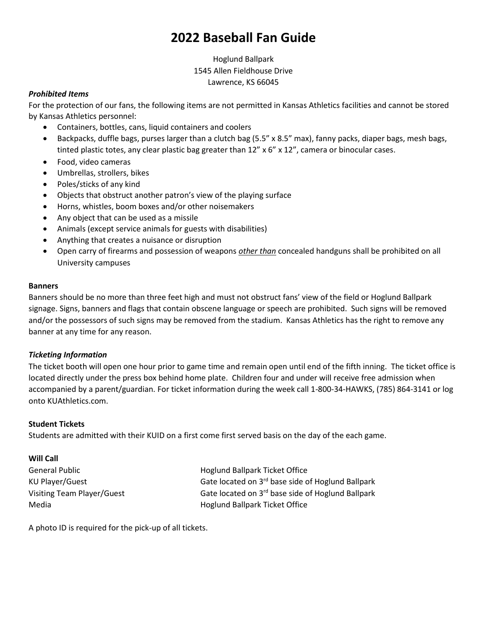# **2022 Baseball Fan Guide**

Hoglund Ballpark 1545 Allen Fieldhouse Drive Lawrence, KS 66045

## *Prohibited Items*

For the protection of our fans, the following items are not permitted in Kansas Athletics facilities and cannot be stored by Kansas Athletics personnel:

- Containers, bottles, cans, liquid containers and coolers
- Backpacks, duffle bags, purses larger than a clutch bag (5.5" x 8.5" max), fanny packs, diaper bags, mesh bags, tinted plastic totes, any clear plastic bag greater than  $12'' \times 6'' \times 12''$ , camera or binocular cases.
- Food, video cameras
- Umbrellas, strollers, bikes
- Poles/sticks of any kind
- Objects that obstruct another patron's view of the playing surface
- Horns, whistles, boom boxes and/or other noisemakers
- Any object that can be used as a missile
- Animals (except service animals for guests with disabilities)
- Anything that creates a nuisance or disruption
- Open carry of firearms and possession of weapons *other than* concealed handguns shall be prohibited on all University campuses

#### **Banners**

Banners should be no more than three feet high and must not obstruct fans' view of the field or Hoglund Ballpark signage. Signs, banners and flags that contain obscene language or speech are prohibited. Such signs will be removed and/or the possessors of such signs may be removed from the stadium. Kansas Athletics has the right to remove any banner at any time for any reason.

#### *Ticketing Information*

The ticket booth will open one hour prior to game time and remain open until end of the fifth inning. The ticket office is located directly under the press box behind home plate. Children four and under will receive free admission when accompanied by a parent/guardian. For ticket information during the week call 1-800-34-HAWKS, (785) 864-3141 or log onto KUAthletics.com.

#### **Student Tickets**

Students are admitted with their KUID on a first come first served basis on the day of the each game.

## **Will Call**

General Public **Hoglund Ballpark Ticket Office** KU Player/Guest Gate located on 3<sup>rd</sup> base side of Hoglund Ballpark Visiting Team Player/Guest Gate located on 3<sup>rd</sup> base side of Hoglund Ballpark Media Hoglund Ballpark Ticket Office

A photo ID is required for the pick-up of all tickets.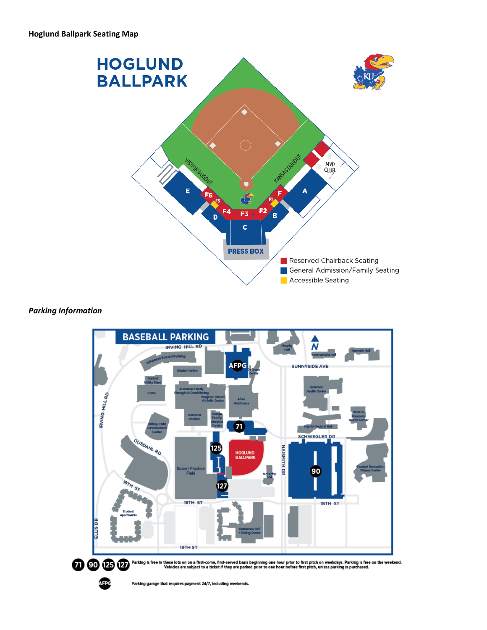

## *Parking Information*



Parking garage that requires payment 24/7, including weekends.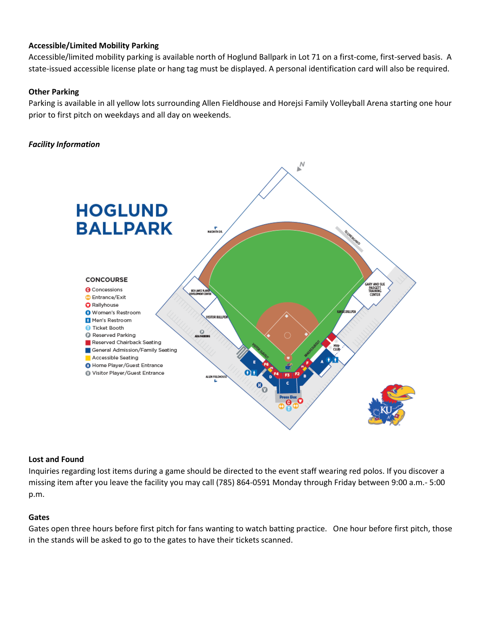## **Accessible/Limited Mobility Parking**

Accessible/limited mobility parking is available north of Hoglund Ballpark in Lot 71 on a first-come, first-served basis. A state-issued accessible license plate or hang tag must be displayed. A personal identification card will also be required.

## **Other Parking**

Parking is available in all yellow lots surrounding Allen Fieldhouse and Horejsi Family Volleyball Arena starting one hour prior to first pitch on weekdays and all day on weekends.

## *Facility Information*



#### **Lost and Found**

Inquiries regarding lost items during a game should be directed to the event staff wearing red polos. If you discover a missing item after you leave the facility you may call (785) 864-0591 Monday through Friday between 9:00 a.m.- 5:00 p.m.

#### **Gates**

Gates open three hours before first pitch for fans wanting to watch batting practice. One hour before first pitch, those in the stands will be asked to go to the gates to have their tickets scanned.